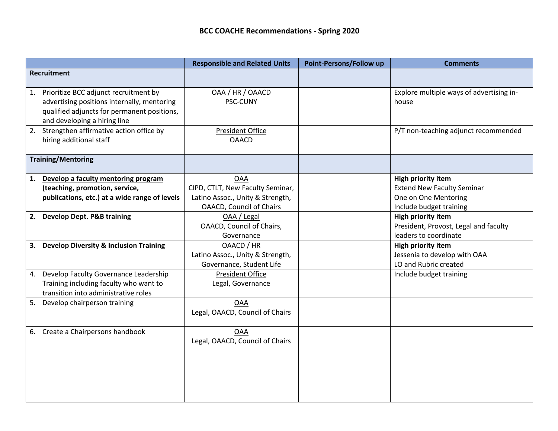|                    |                                                                                                                                                                     | <b>Responsible and Related Units</b>                                                                                  | Point-Persons/Follow up | <b>Comments</b>                                                                                            |
|--------------------|---------------------------------------------------------------------------------------------------------------------------------------------------------------------|-----------------------------------------------------------------------------------------------------------------------|-------------------------|------------------------------------------------------------------------------------------------------------|
| <b>Recruitment</b> |                                                                                                                                                                     |                                                                                                                       |                         |                                                                                                            |
| 1.                 | Prioritize BCC adjunct recruitment by<br>advertising positions internally, mentoring<br>qualified adjuncts for permanent positions,<br>and developing a hiring line | OAA / HR / OAACD<br>PSC-CUNY                                                                                          |                         | Explore multiple ways of advertising in-<br>house                                                          |
|                    | 2. Strengthen affirmative action office by<br>hiring additional staff                                                                                               | <b>President Office</b><br><b>OAACD</b>                                                                               |                         | P/T non-teaching adjunct recommended                                                                       |
|                    | <b>Training/Mentoring</b>                                                                                                                                           |                                                                                                                       |                         |                                                                                                            |
| 1.                 | Develop a faculty mentoring program<br>(teaching, promotion, service,<br>publications, etc.) at a wide range of levels                                              | <b>OAA</b><br>CIPD, CTLT, New Faculty Seminar,<br>Latino Assoc., Unity & Strength,<br><b>OAACD, Council of Chairs</b> |                         | High priority item<br><b>Extend New Faculty Seminar</b><br>One on One Mentoring<br>Include budget training |
|                    | 2. Develop Dept. P&B training                                                                                                                                       | OAA / Legal<br>OAACD, Council of Chairs,<br>Governance                                                                |                         | High priority item<br>President, Provost, Legal and faculty<br>leaders to coordinate                       |
|                    | 3. Develop Diversity & Inclusion Training                                                                                                                           | OAACD / HR<br>Latino Assoc., Unity & Strength,<br>Governance, Student Life                                            |                         | High priority item<br>Jessenia to develop with OAA<br>LO and Rubric created                                |
|                    | 4. Develop Faculty Governance Leadership<br>Training including faculty who want to<br>transition into administrative roles                                          | <b>President Office</b><br>Legal, Governance                                                                          |                         | Include budget training                                                                                    |
| 5.                 | Develop chairperson training                                                                                                                                        | <b>OAA</b><br>Legal, OAACD, Council of Chairs                                                                         |                         |                                                                                                            |
| 6.                 | Create a Chairpersons handbook                                                                                                                                      | <b>OAA</b><br>Legal, OAACD, Council of Chairs                                                                         |                         |                                                                                                            |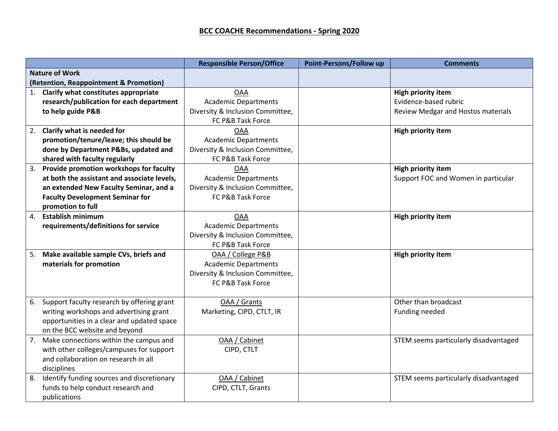|                       |                                               | <b>Responsible Person/Office</b> | Point-Persons/Follow up | <b>Comments</b>                       |
|-----------------------|-----------------------------------------------|----------------------------------|-------------------------|---------------------------------------|
| <b>Nature of Work</b> |                                               |                                  |                         |                                       |
|                       | (Retention, Reappointment & Promotion)        |                                  |                         |                                       |
| 1.                    | Clarify what constitutes appropriate          | <b>OAA</b>                       |                         | High priority item                    |
|                       | research/publication for each department      | <b>Academic Departments</b>      |                         | Evidence-based rubric                 |
|                       | to help guide P&B                             | Diversity & Inclusion Committee, |                         | Review Medgar and Hostos materials    |
|                       |                                               | FC P&B Task Force                |                         |                                       |
|                       | 2. Clarify what is needed for                 | <b>OAA</b>                       |                         | <b>High priority item</b>             |
|                       | promotion/tenure/leave; this should be        | <b>Academic Departments</b>      |                         |                                       |
|                       | done by Department P&Bs, updated and          | Diversity & Inclusion Committee, |                         |                                       |
|                       | shared with faculty regularly                 | FC P&B Task Force                |                         |                                       |
| 3.                    | Provide promotion workshops for faculty       | <b>OAA</b>                       |                         | High priority item                    |
|                       | at both the assistant and associate levels,   | <b>Academic Departments</b>      |                         | Support FOC and Women in particular   |
|                       | an extended New Faculty Seminar, and a        | Diversity & Inclusion Committee, |                         |                                       |
|                       | <b>Faculty Development Seminar for</b>        | FC P&B Task Force                |                         |                                       |
|                       | promotion to full                             |                                  |                         |                                       |
| 4.                    | <b>Establish minimum</b>                      | <b>OAA</b>                       |                         | High priority item                    |
|                       | requirements/definitions for service          | <b>Academic Departments</b>      |                         |                                       |
|                       |                                               | Diversity & Inclusion Committee, |                         |                                       |
|                       |                                               | FC P&B Task Force                |                         |                                       |
| 5.                    | Make available sample CVs, briefs and         | OAA / College P&B                |                         | <b>High priority item</b>             |
|                       | materials for promotion                       | <b>Academic Departments</b>      |                         |                                       |
|                       |                                               | Diversity & Inclusion Committee, |                         |                                       |
|                       |                                               | FC P&B Task Force                |                         |                                       |
|                       |                                               |                                  |                         |                                       |
| 6.                    | Support faculty research by offering grant    | OAA / Grants                     |                         | Other than broadcast                  |
|                       | writing workshops and advertising grant       | Marketing, CIPD, CTLT, IR        |                         | Funding needed                        |
|                       | opportunities in a clear and updated space    |                                  |                         |                                       |
|                       | on the BCC website and beyond                 |                                  |                         |                                       |
| 7.                    | Make connections within the campus and        | OAA / Cabinet                    |                         | STEM seems particularly disadvantaged |
|                       | with other colleges/campuses for support      | CIPD, CTLT                       |                         |                                       |
|                       | and collaboration on research in all          |                                  |                         |                                       |
|                       | disciplines                                   |                                  |                         |                                       |
|                       | 8. Identify funding sources and discretionary | OAA / Cabinet                    |                         | STEM seems particularly disadvantaged |
|                       | funds to help conduct research and            | CIPD, CTLT, Grants               |                         |                                       |
|                       | publications                                  |                                  |                         |                                       |